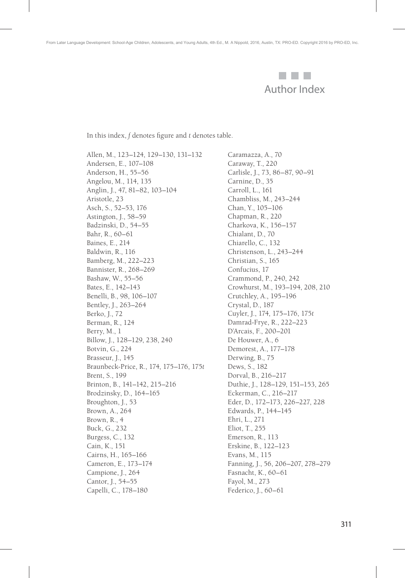

In this index, *f* denotes figure and *t* denotes table.

Allen, M., 123–124, 129–130, 131–132 Andersen, E., 107–108 Anderson, H., 55–56 Angelou, M., 114, 135 Anglin, J., 47, 81–82, 103–104 Aristotle, 23 Asch, S., 52–53, 176 Astington, J., 58–59 Badzinski, D., 54–55 Bahr, R., 60–61 Baines, E., 214 Baldwin, R., 116 Bamberg, M., 222–223 Bannister, R., 268–269 Bashaw, W., 55–56 Bates, E., 142–143 Benelli, B., 98, 106–107 Bentley, J., 263–264 Berko, J., 72 Berman, R., 124 Berry, M., 1 Billow, J., 128–129, 238, 240 Botvin, G., 224 Brasseur, J., 145 Braunbeck-Price, R., 174, 175–176, 175*t* Brent, S., 199 Brinton, B., 141–142, 215–216 Brodzinsky, D., 164–165 Broughton, J., 53 Brown, A., 264 Brown, R., 4 Buck, G., 232 Burgess, C., 132 Cain, K., 151 Cairns, H., 165–166 Cameron, E., 173–174 Campione, J., 264 Cantor, J., 54–55 Capelli, C., 178–180

Caramazza, A., 70 Caraway, T., 220 Carlisle, J., 73, 86–87, 90–91 Carnine, D., 35 Carroll, L., 161 Chambliss, M., 243–244 Chan, Y., 105–106 Chapman, R., 220 Charkova, K., 156–157 Chialant, D., 70 Chiarello, C., 132 Christenson, L., 243–244 Christian, S., 165 Confucius, 17 Crammond, P., 240, 242 Crowhurst, M., 193–194, 208, 210 Crutchley, A., 195–196 Crystal, D., 187 Cuyler, J., 174, 175–176, 175*t* Damrad-Frye, R., 222–223 D'Arcais, F., 200–201 De Houwer, A., 6 Demorest, A., 177–178 Derwing, B., 75 Dews, S., 182 Dorval, B., 216–217 Duthie, J., 128–129, 151–153, 265 Eckerman, C., 216–217 Eder, D., 172–173, 226–227, 228 Edwards, P., 144–145 Ehri, L., 271 Eliot, T., 255 Emerson, R., 113 Erskine, B., 122–123 Evans, M., 115 Fanning, J., 56, 206–207, 278–279 Fasnacht, K., 60–61 Fayol, M., 273 Federico, J., 60–61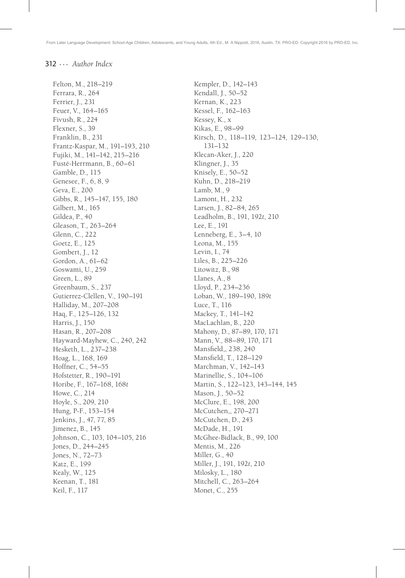## $312...$  Author Index

Felton, M., 218-219 Ferrara, R., 264 Ferrier, J., 231 Feuer, V., 164-165 Fivush, R., 224 Flexner, S., 39 Franklin, B., 231 Frantz-Kaspar, M., 191-193, 210 Fujiki, M., 141-142, 215-216 Fusté-Herrmann, B., 60-61 Gamble, D., 115 Genesee, F., 6, 8, 9 Geva, E., 200 Gibbs, R., 145-147, 155, 180 Gilbert, M., 165 Gildea, P., 40 Gleason, T., 263-264 Glenn, C., 222 Goetz, E., 125 Gombert, J., 12 Gordon, A., 61-62 Goswami, U., 259 Green, L., 89 Greenbaum, S., 237 Gutierrez-Clellen, V., 190-191 Halliday, M., 207-208 Haq, F., 125-126, 132 Harris, J., 150 Hasan, R., 207-208 Hayward-Mayhew, C., 240, 242 Hesketh, L., 237-238 Hoag, L., 168, 169 Hoffner, C., 54-55 Hofstetter, R., 190-191 Horibe, F., 167-168, 168t Howe, C., 214 Hoyle, S., 209, 210 Hung, P-F., 153-154 Jenkins, J., 47, 77, 85 Jimenez, B., 145 Johnson, C., 103, 104-105, 216 Jones, D., 244-245 Jones, N., 72-73 Katz, E., 199 Kealy, W., 125 Keenan, T., 181 Keil, F., 117

Kempler, D., 142-143 Kendall, J., 50-52 Kernan, K., 223 Kessel, F., 162-163 Kessey, K., x Kikas, E., 98-99 Kirsch, D., 118-119, 123-124, 129-130,  $131 - 132$ Klecan-Aker, J., 220 Klingner, J., 35 Knisely, E., 50-52 Kuhn, D., 218-219 Lamb, M., 9 Lamont, H., 232 Larsen, J., 82-84, 265 Leadholm, B., 191, 192t, 210 Lee, E., 191 Lenneberg, E., 3-4, 10 Leona, M., 155 Levin, I., 74 Liles, B., 225-226 Litowitz, B., 98 Llanes, A., 8 Lloyd, P., 234-236 Loban, W., 189-190, 189t Luce, T., 116 Mackey, T., 141-142 MacLachlan, B., 220 Mahony, D., 87-89, 170, 171 Mann, V., 88-89, 170, 171 Mansfield,, 238, 240 Mansfield, T., 128-129 Marchman, V., 142-143 Marinellie, S., 104-106 Martin, S., 122-123, 143-144, 145 Mason, J., 50-52 McClure, E., 198, 200 McCutchen,, 270-271 McCutchen, D., 243 McDade, H., 191 McGhee-Bidlack, B., 99, 100 Mentis, M., 226 Miller, G., 40 Miller, J., 191, 192t, 210 Milosky, L., 180 Mitchell, C., 263-264 Monet, C., 255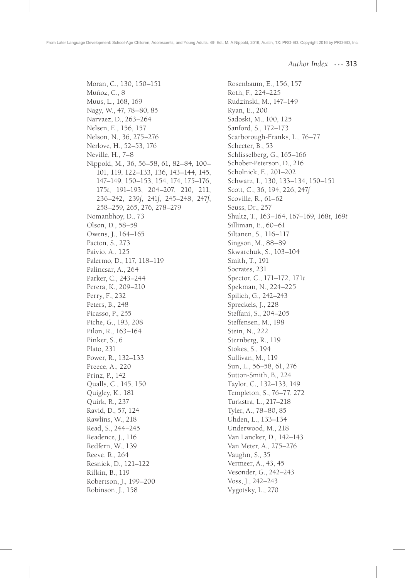*Author Index* ... 313

Moran, C., 130, 150–151 Muñoz, C., 8 Muus, L., 168, 169 Nagy, W., 47, 78–80, 85 Narvaez, D., 263–264 Nelsen, E., 156, 157 Nelson, N., 36, 275–276 Nerlove, H., 52–53, 176 Neville, H., 7–8 Nippold, M., 36, 56–58, 61, 82–84, 100– 101, 119, 122–133, 136, 143–144, 145, 147–149, 150–153, 154, 174, 175–176, 175*t*, 191–193, 204–207, 210, 211, 236–242, 239*f*, 241*f*, 245–248, 247*f*, 258–259, 265, 276, 278–279 Nomanbhoy, D., 73 Olson, D., 58–59 Owens, J., 164–165 Pacton, S., 273 Paivio, A., 125 Palermo, D., 117, 118–119 Palincsar, A., 264 Parker, C., 243–244 Perera, K., 209–210 Perry, F., 232 Peters, B., 248 Picasso, P., 255 Piche, G., 193, 208 Pilon, R., 163–164 Pinker, S., 6 Plato, 231 Power, R., 132–133 Preece, A., 220 Prinz, P., 142 Qualls, C., 145, 150 Quigley, K., 181 Quirk, R., 237 Ravid, D., 57, 124 Rawlins, W., 218 Read, S., 244–245 Readence, J., 116 Redfern, W., 139 Reeve, R., 264 Resnick, D., 121–122 Rifkin, B., 119 Robertson, J., 199–200 Robinson, J., 158

Rosenbaum, E., 156, 157 Roth, F., 224–225 Rudzinski, M., 147–149 Ryan, E., 200 Sadoski, M., 100, 125 Sanford, S., 172–173 Scarborough-Franks, L., 76–77 Schecter, B., 53 Schlisselberg, G., 165–166 Schober-Peterson, D., 216 Scholnick, E., 201–202 Schwarz, I., 130, 133–134, 150–151 Scott, C., 36, 194, 226, 247*f* Scoville, R., 61–62 Seuss, Dr., 257 Shultz, T., 163–164, 167–169, 168*t*, 169*t* Silliman, E., 60–61 Siltanen, S., 116–117 Singson, M., 88–89 Skwarchuk, S., 103–104 Smith, T., 191 Socrates, 231 Spector, C., 171–172, 171*t* Spekman, N., 224–225 Spilich, G., 242–243 Spreckels, J., 228 Steffani, S., 204–205 Steffensen, M., 198 Stein, N., 222 Sternberg, R., 119 Stokes, S., 194 Sullivan, M., 119 Sun, L., 56–58, 61, 276 Sutton-Smith, B., 224 Taylor, C., 132–133, 149 Templeton, S., 76–77, 272 Turkstra, L., 217–218 Tyler, A., 78–80, 85 Uhden, L., 133–134 Underwood, M., 218 Van Lancker, D., 142–143 Van Meter, A., 275–276 Vaughn, S., 35 Vermeer, A., 43, 45 Vesonder, G., 242–243 Voss, J., 242–243 Vygotsky, L., 270